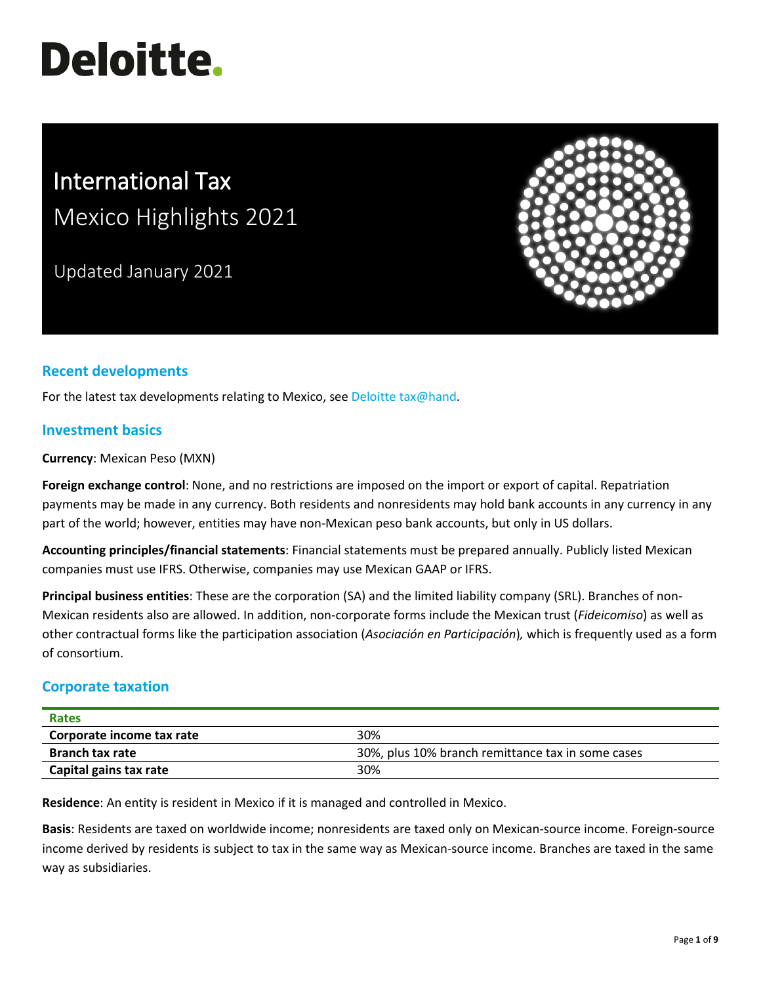# **Deloitte.**

# International Tax Mexico Highlights 2021

Updated January 2021



# **Recent developments**

For the latest tax developments relating to Mexico, see [Deloitte tax@hand.](https://www.taxathand.com/world-news/Mexico)

#### **Investment basics**

**Currency**: Mexican Peso (MXN)

**Foreign exchange control**: None, and no restrictions are imposed on the import or export of capital. Repatriation payments may be made in any currency. Both residents and nonresidents may hold bank accounts in any currency in any part of the world; however, entities may have non-Mexican peso bank accounts, but only in US dollars.

**Accounting principles/financial statements**: Financial statements must be prepared annually. Publicly listed Mexican companies must use IFRS. Otherwise, companies may use Mexican GAAP or IFRS.

**Principal business entities**: These are the corporation (SA) and the limited liability company (SRL). Branches of non-Mexican residents also are allowed. In addition, non-corporate forms include the Mexican trust (*Fideicomiso*) as well as other contractual forms like the participation association (*Asociación en Participación*)*,* which is frequently used as a form of consortium.

## **Corporate taxation**

| Rates                     |                                                   |
|---------------------------|---------------------------------------------------|
| Corporate income tax rate | 30%                                               |
| <b>Branch tax rate</b>    | 30%, plus 10% branch remittance tax in some cases |
| Capital gains tax rate    | 30%                                               |

**Residence**: An entity is resident in Mexico if it is managed and controlled in Mexico.

**Basis**: Residents are taxed on worldwide income; nonresidents are taxed only on Mexican-source income. Foreign-source income derived by residents is subject to tax in the same way as Mexican-source income. Branches are taxed in the same way as subsidiaries.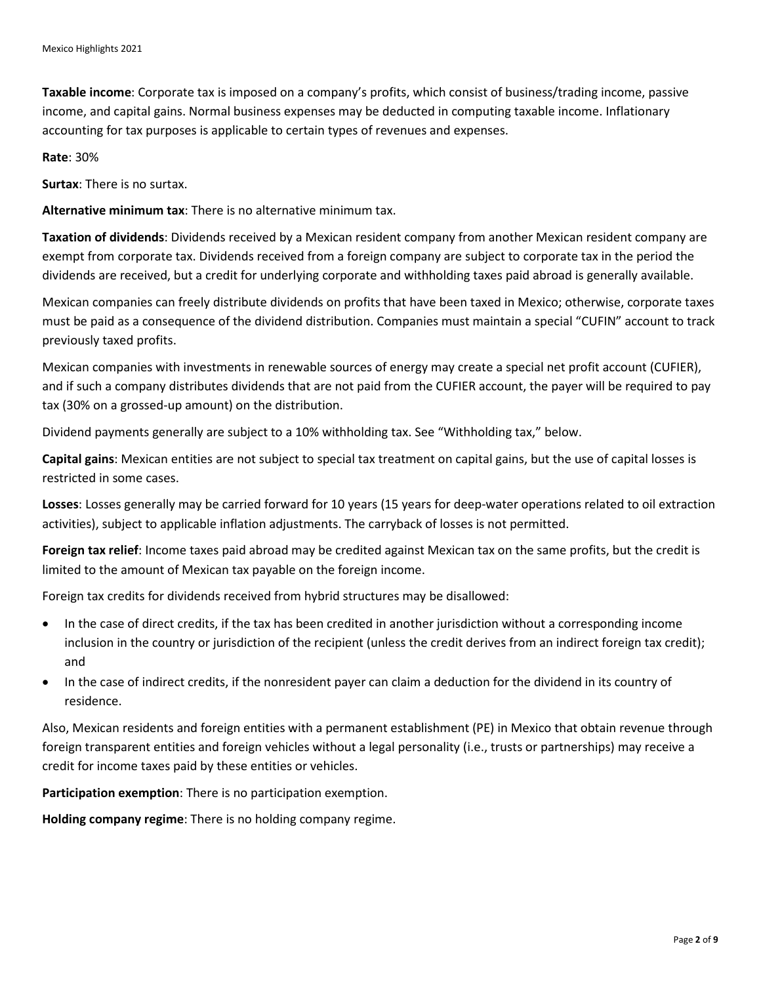**Taxable income**: Corporate tax is imposed on a company's profits, which consist of business/trading income, passive income, and capital gains. Normal business expenses may be deducted in computing taxable income. Inflationary accounting for tax purposes is applicable to certain types of revenues and expenses.

**Rate**: 30%

**Surtax**: There is no surtax.

**Alternative minimum tax**: There is no alternative minimum tax.

**Taxation of dividends**: Dividends received by a Mexican resident company from another Mexican resident company are exempt from corporate tax. Dividends received from a foreign company are subject to corporate tax in the period the dividends are received, but a credit for underlying corporate and withholding taxes paid abroad is generally available.

Mexican companies can freely distribute dividends on profits that have been taxed in Mexico; otherwise, corporate taxes must be paid as a consequence of the dividend distribution. Companies must maintain a special "CUFIN" account to track previously taxed profits.

Mexican companies with investments in renewable sources of energy may create a special net profit account (CUFIER), and if such a company distributes dividends that are not paid from the CUFIER account, the payer will be required to pay tax (30% on a grossed-up amount) on the distribution.

Dividend payments generally are subject to a 10% withholding tax. See "Withholding tax," below.

**Capital gains**: Mexican entities are not subject to special tax treatment on capital gains, but the use of capital losses is restricted in some cases.

**Losses**: Losses generally may be carried forward for 10 years (15 years for deep-water operations related to oil extraction activities), subject to applicable inflation adjustments. The carryback of losses is not permitted.

**Foreign tax relief**: Income taxes paid abroad may be credited against Mexican tax on the same profits, but the credit is limited to the amount of Mexican tax payable on the foreign income.

Foreign tax credits for dividends received from hybrid structures may be disallowed:

- In the case of direct credits, if the tax has been credited in another jurisdiction without a corresponding income inclusion in the country or jurisdiction of the recipient (unless the credit derives from an indirect foreign tax credit); and
- In the case of indirect credits, if the nonresident payer can claim a deduction for the dividend in its country of residence.

Also, Mexican residents and foreign entities with a permanent establishment (PE) in Mexico that obtain revenue through foreign transparent entities and foreign vehicles without a legal personality (i.e., trusts or partnerships) may receive a credit for income taxes paid by these entities or vehicles.

**Participation exemption**: There is no participation exemption.

**Holding company regime**: There is no holding company regime.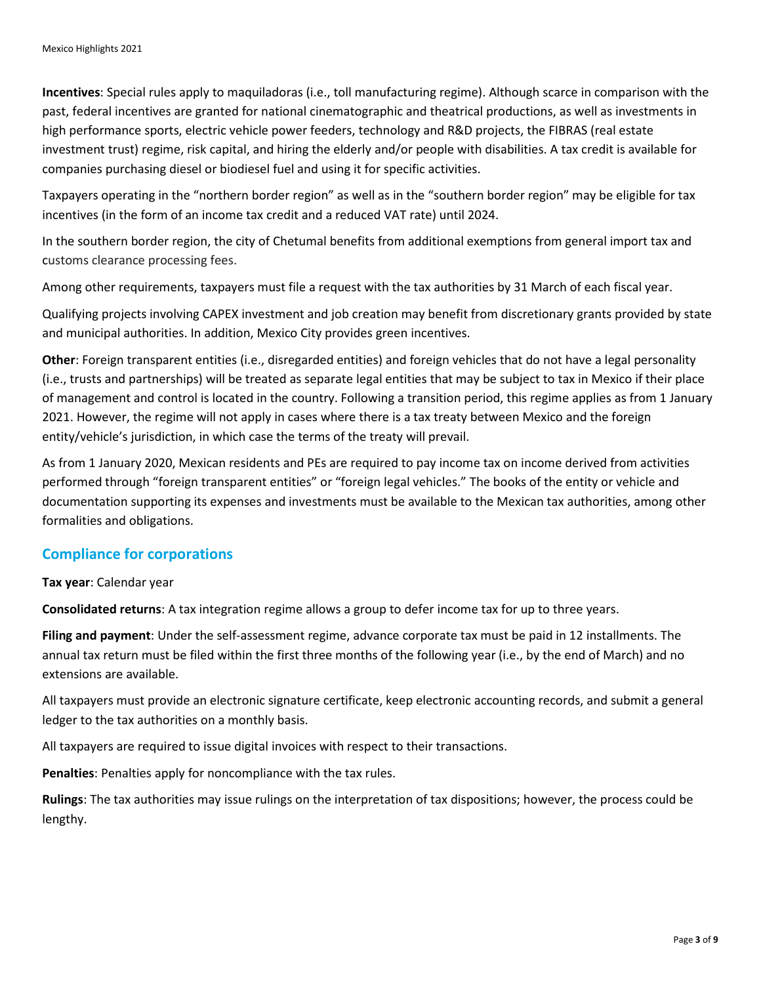**Incentives**: Special rules apply to maquiladoras (i.e., toll manufacturing regime). Although scarce in comparison with the past, federal incentives are granted for national cinematographic and theatrical productions, as well as investments in high performance sports, electric vehicle power feeders, technology and R&D projects, the FIBRAS (real estate investment trust) regime, risk capital, and hiring the elderly and/or people with disabilities. A tax credit is available for companies purchasing diesel or biodiesel fuel and using it for specific activities.

Taxpayers operating in the "northern border region" as well as in the "southern border region" may be eligible for tax incentives (in the form of an income tax credit and a reduced VAT rate) until 2024.

In the southern border region, the city of Chetumal benefits from additional exemptions from general import tax and customs clearance processing fees.

Among other requirements, taxpayers must file a request with the tax authorities by 31 March of each fiscal year.

Qualifying projects involving CAPEX investment and job creation may benefit from discretionary grants provided by state and municipal authorities. In addition, Mexico City provides green incentives.

**Other**: Foreign transparent entities (i.e., disregarded entities) and foreign vehicles that do not have a legal personality (i.e., trusts and partnerships) will be treated as separate legal entities that may be subject to tax in Mexico if their place of management and control is located in the country. Following a transition period, this regime applies as from 1 January 2021. However, the regime will not apply in cases where there is a tax treaty between Mexico and the foreign entity/vehicle's jurisdiction, in which case the terms of the treaty will prevail.

As from 1 January 2020, Mexican residents and PEs are required to pay income tax on income derived from activities performed through "foreign transparent entities" or "foreign legal vehicles." The books of the entity or vehicle and documentation supporting its expenses and investments must be available to the Mexican tax authorities, among other formalities and obligations.

#### **Compliance for corporations**

#### **Tax year**: Calendar year

**Consolidated returns**: A tax integration regime allows a group to defer income tax for up to three years.

**Filing and payment**: Under the self-assessment regime, advance corporate tax must be paid in 12 installments. The annual tax return must be filed within the first three months of the following year (i.e., by the end of March) and no extensions are available.

All taxpayers must provide an electronic signature certificate, keep electronic accounting records, and submit a general ledger to the tax authorities on a monthly basis.

All taxpayers are required to issue digital invoices with respect to their transactions.

**Penalties**: Penalties apply for noncompliance with the tax rules.

**Rulings**: The tax authorities may issue rulings on the interpretation of tax dispositions; however, the process could be lengthy.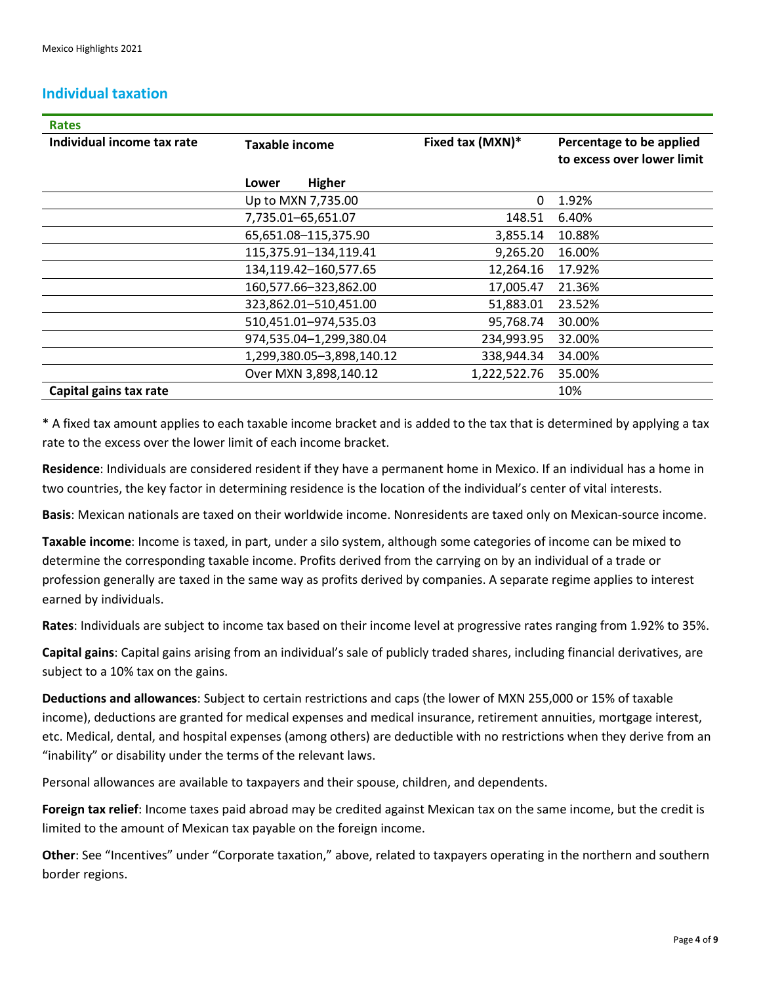### **Individual taxation**

| <b>Rates</b>               |                           |                  |                                                        |
|----------------------------|---------------------------|------------------|--------------------------------------------------------|
| Individual income tax rate | <b>Taxable income</b>     | Fixed tax (MXN)* | Percentage to be applied<br>to excess over lower limit |
|                            | <b>Higher</b><br>Lower    |                  |                                                        |
|                            | Up to MXN 7,735.00        | 0                | 1.92%                                                  |
|                            | 7,735.01-65,651.07        | 148.51           | 6.40%                                                  |
|                            | 65,651.08-115,375.90      | 3,855.14         | 10.88%                                                 |
|                            | 115,375.91-134,119.41     | 9,265.20         | 16.00%                                                 |
|                            | 134,119.42-160,577.65     | 12,264.16        | 17.92%                                                 |
|                            | 160,577.66-323,862.00     | 17,005.47        | 21.36%                                                 |
|                            | 323,862.01-510,451.00     | 51,883.01        | 23.52%                                                 |
|                            | 510,451.01-974,535.03     | 95,768.74        | 30.00%                                                 |
|                            | 974,535.04-1,299,380.04   | 234,993.95       | 32.00%                                                 |
|                            | 1,299,380.05-3,898,140.12 | 338,944.34       | 34.00%                                                 |
|                            | Over MXN 3,898,140.12     | 1,222,522.76     | 35.00%                                                 |
| Capital gains tax rate     |                           |                  | 10%                                                    |

\* A fixed tax amount applies to each taxable income bracket and is added to the tax that is determined by applying a tax rate to the excess over the lower limit of each income bracket.

**Residence**: Individuals are considered resident if they have a permanent home in Mexico. If an individual has a home in two countries, the key factor in determining residence is the location of the individual's center of vital interests.

**Basis**: Mexican nationals are taxed on their worldwide income. Nonresidents are taxed only on Mexican-source income.

**Taxable income**: Income is taxed, in part, under a silo system, although some categories of income can be mixed to determine the corresponding taxable income. Profits derived from the carrying on by an individual of a trade or profession generally are taxed in the same way as profits derived by companies. A separate regime applies to interest earned by individuals.

**Rates**: Individuals are subject to income tax based on their income level at progressive rates ranging from 1.92% to 35%.

**Capital gains**: Capital gains arising from an individual's sale of publicly traded shares, including financial derivatives, are subject to a 10% tax on the gains.

**Deductions and allowances**: Subject to certain restrictions and caps (the lower of MXN 255,000 or 15% of taxable income), deductions are granted for medical expenses and medical insurance, retirement annuities, mortgage interest, etc. Medical, dental, and hospital expenses (among others) are deductible with no restrictions when they derive from an "inability" or disability under the terms of the relevant laws.

Personal allowances are available to taxpayers and their spouse, children, and dependents.

**Foreign tax relief**: Income taxes paid abroad may be credited against Mexican tax on the same income, but the credit is limited to the amount of Mexican tax payable on the foreign income.

**Other**: See "Incentives" under "Corporate taxation," above, related to taxpayers operating in the northern and southern border regions.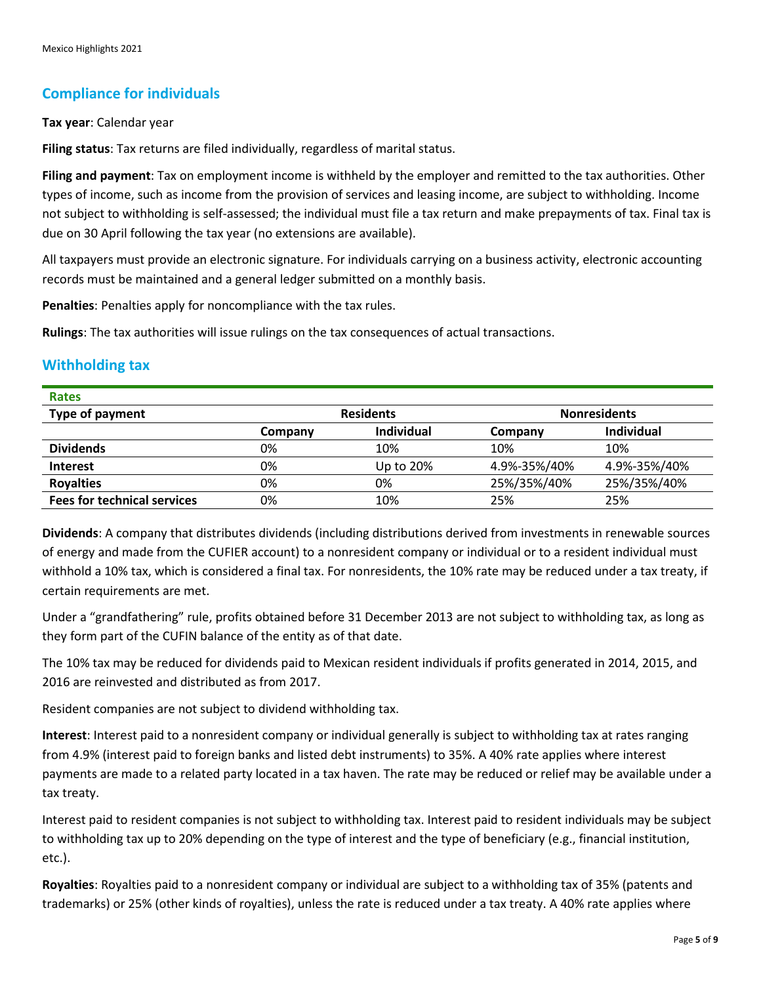# **Compliance for individuals**

#### **Tax year**: Calendar year

**Filing status**: Tax returns are filed individually, regardless of marital status.

**Filing and payment**: Tax on employment income is withheld by the employer and remitted to the tax authorities. Other types of income, such as income from the provision of services and leasing income, are subject to withholding. Income not subject to withholding is self-assessed; the individual must file a tax return and make prepayments of tax. Final tax is due on 30 April following the tax year (no extensions are available).

All taxpayers must provide an electronic signature. For individuals carrying on a business activity, electronic accounting records must be maintained and a general ledger submitted on a monthly basis.

**Penalties**: Penalties apply for noncompliance with the tax rules.

**Rulings**: The tax authorities will issue rulings on the tax consequences of actual transactions.

### **Withholding tax**

**Rates**

| nales                              |                  |                   |                     |                   |
|------------------------------------|------------------|-------------------|---------------------|-------------------|
| Type of payment                    | <b>Residents</b> |                   | <b>Nonresidents</b> |                   |
|                                    | Company          | <b>Individual</b> | Company             | <b>Individual</b> |
| <b>Dividends</b>                   | 0%               | 10%               | 10%                 | 10%               |
| <b>Interest</b>                    | 0%               | Up to 20%         | 4.9%-35%/40%        | 4.9%-35%/40%      |
| <b>Royalties</b>                   | 0%               | 0%                | 25%/35%/40%         | 25%/35%/40%       |
| <b>Fees for technical services</b> | 0%               | 10%               | 25%                 | 25%               |

**Dividends**: A company that distributes dividends (including distributions derived from investments in renewable sources of energy and made from the CUFIER account) to a nonresident company or individual or to a resident individual must withhold a 10% tax, which is considered a final tax. For nonresidents, the 10% rate may be reduced under a tax treaty, if certain requirements are met.

Under a "grandfathering" rule, profits obtained before 31 December 2013 are not subject to withholding tax, as long as they form part of the CUFIN balance of the entity as of that date.

The 10% tax may be reduced for dividends paid to Mexican resident individuals if profits generated in 2014, 2015, and 2016 are reinvested and distributed as from 2017.

Resident companies are not subject to dividend withholding tax.

**Interest**: Interest paid to a nonresident company or individual generally is subject to withholding tax at rates ranging from 4.9% (interest paid to foreign banks and listed debt instruments) to 35%. A 40% rate applies where interest payments are made to a related party located in a tax haven. The rate may be reduced or relief may be available under a tax treaty.

Interest paid to resident companies is not subject to withholding tax. Interest paid to resident individuals may be subject to withholding tax up to 20% depending on the type of interest and the type of beneficiary (e.g., financial institution, etc.).

**Royalties**: Royalties paid to a nonresident company or individual are subject to a withholding tax of 35% (patents and trademarks) or 25% (other kinds of royalties), unless the rate is reduced under a tax treaty. A 40% rate applies where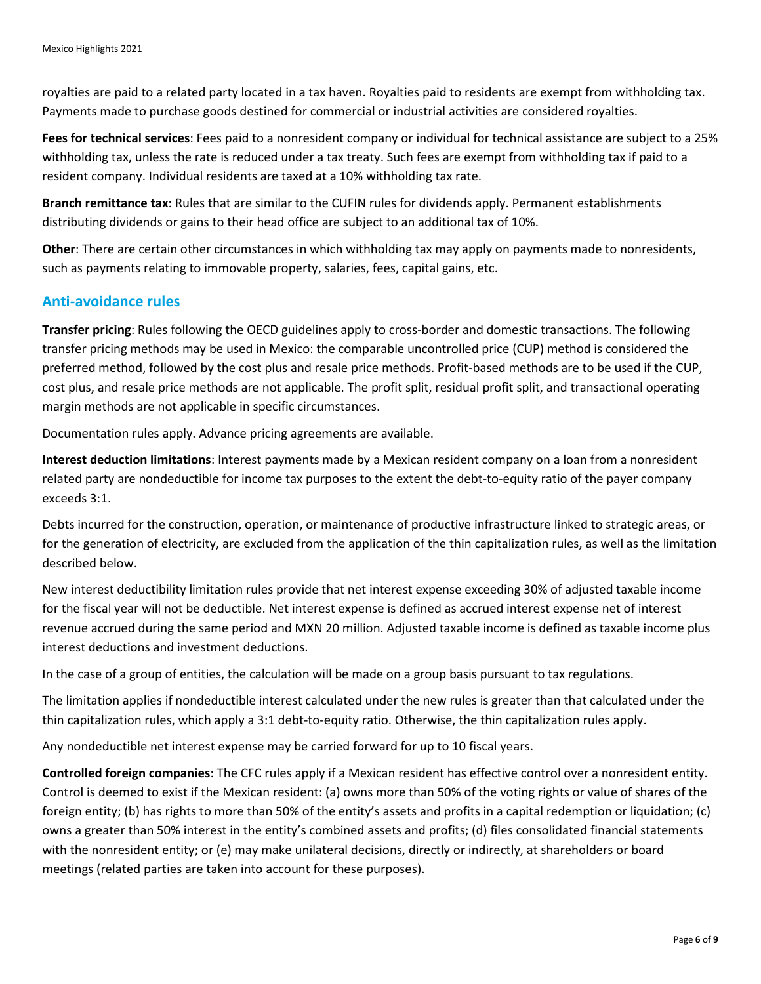royalties are paid to a related party located in a tax haven. Royalties paid to residents are exempt from withholding tax. Payments made to purchase goods destined for commercial or industrial activities are considered royalties.

**Fees for technical services**: Fees paid to a nonresident company or individual for technical assistance are subject to a 25% withholding tax, unless the rate is reduced under a tax treaty. Such fees are exempt from withholding tax if paid to a resident company. Individual residents are taxed at a 10% withholding tax rate.

**Branch remittance tax**: Rules that are similar to the CUFIN rules for dividends apply. Permanent establishments distributing dividends or gains to their head office are subject to an additional tax of 10%.

**Other**: There are certain other circumstances in which withholding tax may apply on payments made to nonresidents, such as payments relating to immovable property, salaries, fees, capital gains, etc.

### **Anti-avoidance rules**

**Transfer pricing**: Rules following the OECD guidelines apply to cross-border and domestic transactions. The following transfer pricing methods may be used in Mexico: the comparable uncontrolled price (CUP) method is considered the preferred method, followed by the cost plus and resale price methods. Profit-based methods are to be used if the CUP, cost plus, and resale price methods are not applicable. The profit split, residual profit split, and transactional operating margin methods are not applicable in specific circumstances.

Documentation rules apply. Advance pricing agreements are available.

**Interest deduction limitations**: Interest payments made by a Mexican resident company on a loan from a nonresident related party are nondeductible for income tax purposes to the extent the debt-to-equity ratio of the payer company exceeds 3:1.

Debts incurred for the construction, operation, or maintenance of productive infrastructure linked to strategic areas, or for the generation of electricity, are excluded from the application of the thin capitalization rules, as well as the limitation described below.

New interest deductibility limitation rules provide that net interest expense exceeding 30% of adjusted taxable income for the fiscal year will not be deductible. Net interest expense is defined as accrued interest expense net of interest revenue accrued during the same period and MXN 20 million. Adjusted taxable income is defined as taxable income plus interest deductions and investment deductions.

In the case of a group of entities, the calculation will be made on a group basis pursuant to tax regulations.

The limitation applies if nondeductible interest calculated under the new rules is greater than that calculated under the thin capitalization rules, which apply a 3:1 debt-to-equity ratio. Otherwise, the thin capitalization rules apply.

Any nondeductible net interest expense may be carried forward for up to 10 fiscal years.

**Controlled foreign companies**: The CFC rules apply if a Mexican resident has effective control over a nonresident entity. Control is deemed to exist if the Mexican resident: (a) owns more than 50% of the voting rights or value of shares of the foreign entity; (b) has rights to more than 50% of the entity's assets and profits in a capital redemption or liquidation; (c) owns a greater than 50% interest in the entity's combined assets and profits; (d) files consolidated financial statements with the nonresident entity; or (e) may make unilateral decisions, directly or indirectly, at shareholders or board meetings (related parties are taken into account for these purposes).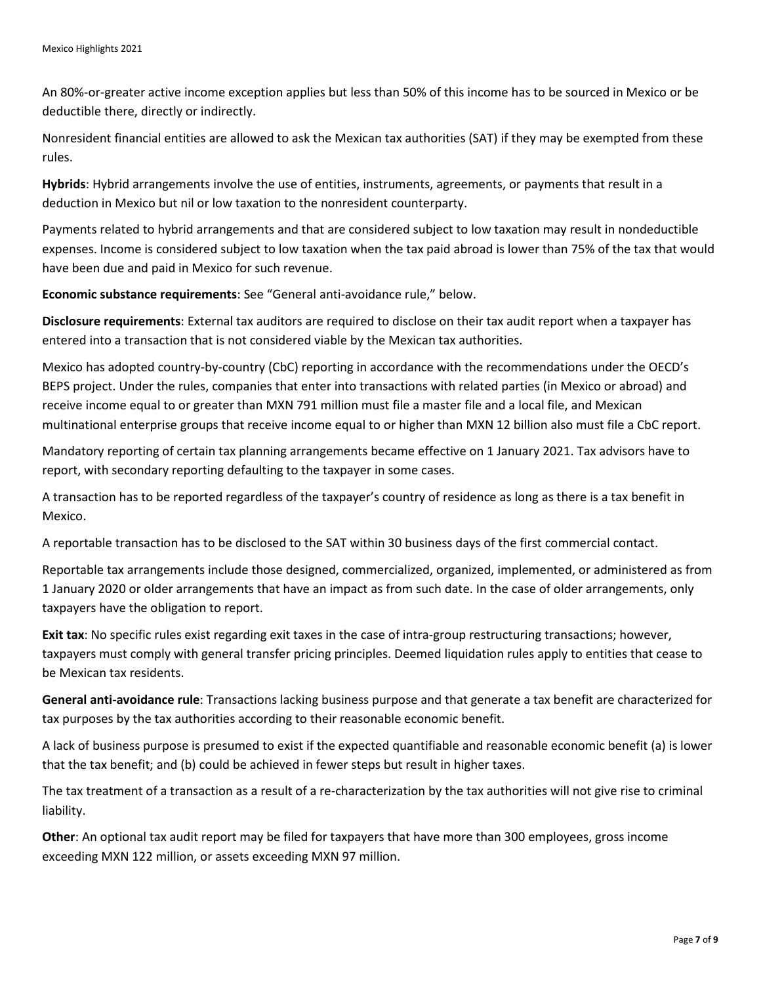An 80%-or-greater active income exception applies but less than 50% of this income has to be sourced in Mexico or be deductible there, directly or indirectly.

Nonresident financial entities are allowed to ask the Mexican tax authorities (SAT) if they may be exempted from these rules.

**Hybrids**: Hybrid arrangements involve the use of entities, instruments, agreements, or payments that result in a deduction in Mexico but nil or low taxation to the nonresident counterparty.

Payments related to hybrid arrangements and that are considered subject to low taxation may result in nondeductible expenses. Income is considered subject to low taxation when the tax paid abroad is lower than 75% of the tax that would have been due and paid in Mexico for such revenue.

**Economic substance requirements**: See "General anti-avoidance rule," below.

**Disclosure requirements**: External tax auditors are required to disclose on their tax audit report when a taxpayer has entered into a transaction that is not considered viable by the Mexican tax authorities.

Mexico has adopted country-by-country (CbC) reporting in accordance with the recommendations under the OECD's BEPS project. Under the rules, companies that enter into transactions with related parties (in Mexico or abroad) and receive income equal to or greater than MXN 791 million must file a master file and a local file, and Mexican multinational enterprise groups that receive income equal to or higher than MXN 12 billion also must file a CbC report.

Mandatory reporting of certain tax planning arrangements became effective on 1 January 2021. Tax advisors have to report, with secondary reporting defaulting to the taxpayer in some cases.

A transaction has to be reported regardless of the taxpayer's country of residence as long as there is a tax benefit in Mexico.

A reportable transaction has to be disclosed to the SAT within 30 business days of the first commercial contact.

Reportable tax arrangements include those designed, commercialized, organized, implemented, or administered as from 1 January 2020 or older arrangements that have an impact as from such date. In the case of older arrangements, only taxpayers have the obligation to report.

**Exit tax**: No specific rules exist regarding exit taxes in the case of intra-group restructuring transactions; however, taxpayers must comply with general transfer pricing principles. Deemed liquidation rules apply to entities that cease to be Mexican tax residents.

**General anti-avoidance rule**: Transactions lacking business purpose and that generate a tax benefit are characterized for tax purposes by the tax authorities according to their reasonable economic benefit.

A lack of business purpose is presumed to exist if the expected quantifiable and reasonable economic benefit (a) is lower that the tax benefit; and (b) could be achieved in fewer steps but result in higher taxes.

The tax treatment of a transaction as a result of a re-characterization by the tax authorities will not give rise to criminal liability.

**Other**: An optional tax audit report may be filed for taxpayers that have more than 300 employees, gross income exceeding MXN 122 million, or assets exceeding MXN 97 million.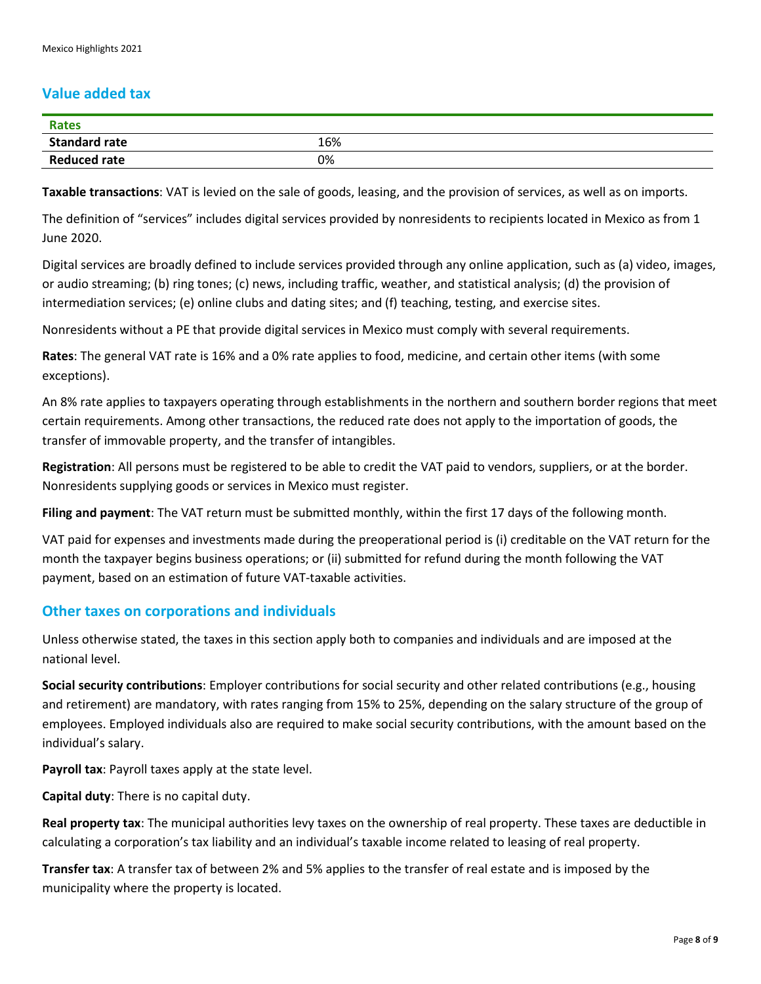### **Value added tax**

| <b>Rates</b>         |     |
|----------------------|-----|
| <b>Standard rate</b> | 16% |
| <b>Reduced rate</b>  | 0%  |

**Taxable transactions**: VAT is levied on the sale of goods, leasing, and the provision of services, as well as on imports.

The definition of "services" includes digital services provided by nonresidents to recipients located in Mexico as from 1 June 2020.

Digital services are broadly defined to include services provided through any online application, such as (a) video, images, or audio streaming; (b) ring tones; (c) news, including traffic, weather, and statistical analysis; (d) the provision of intermediation services; (e) online clubs and dating sites; and (f) teaching, testing, and exercise sites.

Nonresidents without a PE that provide digital services in Mexico must comply with several requirements.

**Rates**: The general VAT rate is 16% and a 0% rate applies to food, medicine, and certain other items (with some exceptions).

An 8% rate applies to taxpayers operating through establishments in the northern and southern border regions that meet certain requirements. Among other transactions, the reduced rate does not apply to the importation of goods, the transfer of immovable property, and the transfer of intangibles.

**Registration**: All persons must be registered to be able to credit the VAT paid to vendors, suppliers, or at the border. Nonresidents supplying goods or services in Mexico must register.

**Filing and payment**: The VAT return must be submitted monthly, within the first 17 days of the following month.

VAT paid for expenses and investments made during the preoperational period is (i) creditable on the VAT return for the month the taxpayer begins business operations; or (ii) submitted for refund during the month following the VAT payment, based on an estimation of future VAT-taxable activities.

#### **Other taxes on corporations and individuals**

Unless otherwise stated, the taxes in this section apply both to companies and individuals and are imposed at the national level.

**Social security contributions**: Employer contributions for social security and other related contributions (e.g., housing and retirement) are mandatory, with rates ranging from 15% to 25%, depending on the salary structure of the group of employees. Employed individuals also are required to make social security contributions, with the amount based on the individual's salary.

**Payroll tax**: Payroll taxes apply at the state level.

**Capital duty**: There is no capital duty.

**Real property tax**: The municipal authorities levy taxes on the ownership of real property. These taxes are deductible in calculating a corporation's tax liability and an individual's taxable income related to leasing of real property.

**Transfer tax**: A transfer tax of between 2% and 5% applies to the transfer of real estate and is imposed by the municipality where the property is located.